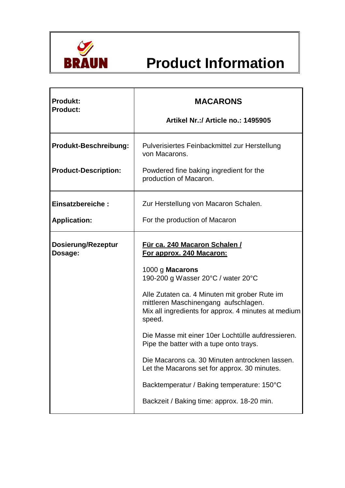

## **Product Information**

| <b>Produkt:</b><br><b>Product:</b>   | <b>MACARONS</b><br>Artikel Nr.:/ Article no.: 1495905                                                                                                  |
|--------------------------------------|--------------------------------------------------------------------------------------------------------------------------------------------------------|
| <b>Produkt-Beschreibung:</b>         | Pulverisiertes Feinbackmittel zur Herstellung<br>von Macarons.                                                                                         |
| <b>Product-Description:</b>          | Powdered fine baking ingredient for the<br>production of Macaron.                                                                                      |
| Einsatzbereiche:                     | Zur Herstellung von Macaron Schalen.                                                                                                                   |
| <b>Application:</b>                  | For the production of Macaron                                                                                                                          |
| <b>Dosierung/Rezeptur</b><br>Dosage: | Für ca. 240 Macaron Schalen /<br>For approx. 240 Macaron:                                                                                              |
|                                      | 1000 g Macarons<br>190-200 g Wasser 20°C / water 20°C                                                                                                  |
|                                      | Alle Zutaten ca. 4 Minuten mit grober Rute im<br>mittleren Maschinengang aufschlagen.<br>Mix all ingredients for approx. 4 minutes at medium<br>speed. |
|                                      | Die Masse mit einer 10er Lochtülle aufdressieren.<br>Pipe the batter with a tupe onto trays.                                                           |
|                                      | Die Macarons ca. 30 Minuten antrocknen lassen.<br>Let the Macarons set for approx. 30 minutes.                                                         |
|                                      | Backtemperatur / Baking temperature: 150°C                                                                                                             |
|                                      | Backzeit / Baking time: approx. 18-20 min.                                                                                                             |